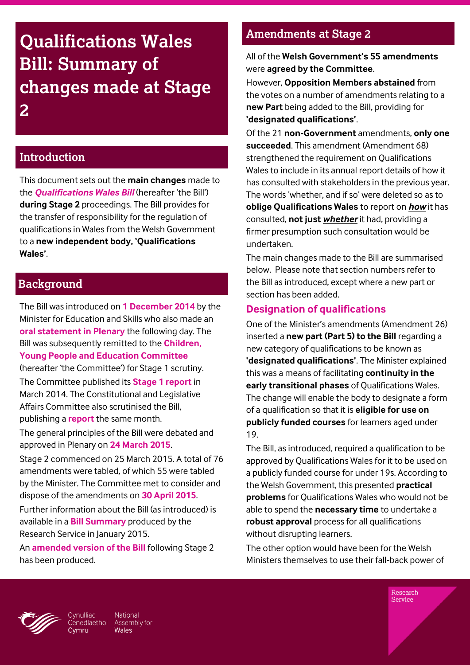# **Qualifications Wales Bill: Summary of changes made at Stage 2**

#### **Introduction**

This document sets out the **main changes** made to the *[Qualifications Wales Bill](http://www.senedd.assembly.wales/mgIssueHistoryHome.aspx?IId=11777)* (hereafter 'the Bill') **during Stage 2** proceedings. The Bill provides for the transfer of responsibility for the regulation of qualifications in Wales from the Welsh Government to a **new independent body, 'Qualifications Wales'**.

#### **Background**

The Bill was introduced on **[1 December 2014](http://gov.wales/about/cabinet/cabinetstatements/2014/9418502/?lang=en)** by the Minister for Education and Skills who also made an **[oral statement in Plenary](http://www.assembly.wales/en/bus-home/pages/rop.aspx?meetingid=2767&language=en&assembly=4&c=Record%20of%20Proceedings%20-%20187275#187275)** the following day. The Bill was subsequently remitted to the **[Children,](http://www.senedd.assembly.wales/mgCommitteeDetails.aspx?ID=224)  [Young People and Education Committee](http://www.senedd.assembly.wales/mgCommitteeDetails.aspx?ID=224)** (hereafter 'the Committee') for Stage 1 scrutiny. The Committee published its **[Stage 1 report](http://www.assembly.wales/laid%20documents/cr-ld10142%20-%20children,%20young%20people%20and%20education%20committee%20%e2%80%93%20qualifications%20wales%20bill%20-%20stage%201%20committee%20report/cr-ld10142-e.pdf)** in March 2014. The Constitutional and Legislative Affairs Committee also scrutinised the Bill, publishing a **[report](http://www.assembly.wales/laid%20documents/cr-ld10143%20-%20constitutional%20and%20legislative%20affairs%20committee%20report%20on%20the%20qualifications%20wales%20bill/cr-ld10143-e.pdf)** the same month.

The general principles of the Bill were debated and approved in Plenary on **[24 March 2015](http://www.assembly.wales/en/bus-home/pages/rop.aspx?meetingid=3117&language=en&assembly=4&c=Record%20of%20Proceedings&startDt=02/03/2015&endDt=31/03/2015#210222)**.

Stage 2 commenced on 25 March 2015. A total of 76 amendments were tabled, of which 55 were tabled by the Minister. The Committee met to consider and dispose of the amendments on **[30 April 2015](http://www.senedd.assembly.wales/ieListDocuments.aspx?CId=224&MId=2941&Ver=4)**.

Further information about the Bill (as introduced) is available in a **[Bill Summary](http://www.assembly.wales/research%20documents/qualifications%20(wales)%20bill%20-%20bill%20summary%20paper/15-004.pdf)** produced by the Research Service in January 2015.

An **[amended version of the Bill](http://www.senedd.assembly.wales/documents/s39715/Qualifications%20Wales%20Bill%20-%20as%20amended%20at%20Stage%202.pdf)** following Stage 2 has been produced.

# **Amendments at Stage 2**

All of the **Welsh Government's 55 amendments** were **agreed by the Committee**.

However, **Opposition Members abstained** from the votes on a number of amendments relating to a **new Part** being added to the Bill, providing for **'designated qualifications'**.

Of the 21 **non-Government** amendments, **only one succeeded**. This amendment (Amendment 68) strengthened the requirement on Qualifications Wales to include in its annual report details of how it has consulted with stakeholders in the previous year. The words 'whether, and if so' were deleted so as to **oblige Qualifications Wales** to report on *how* it has consulted, **not just** *whether* it had, providing a firmer presumption such consultation would be undertaken.

The main changes made to the Bill are summarised below. Please note that section numbers refer to the Bill as introduced, except where a new part or section has been added.

#### **Designation of qualifications**

One of the Minister's amendments (Amendment 26) inserted a **new part (Part 5) to the Bill** regarding a new category of qualifications to be known as **'designated qualifications'**. The Minister explained this was a means of facilitating **continuity in the early transitional phases** of Qualifications Wales. The change will enable the body to designate a form of a qualification so that it is **eligible for use on publicly funded courses** for learners aged under 19.

The Bill, as introduced, required a qualification to be approved by Qualifications Wales for it to be used on a publicly funded course for under 19s. According to the Welsh Government, this presented **practical problems** for Qualifications Wales who would not be able to spend the **necessary time** to undertake a **robust approval** process for all qualifications without disrupting learners.

The other option would have been for the Welsh Ministers themselves to use their fall-back power of



vnulliad National Cenedlaethol Assembly for Wales

Research Service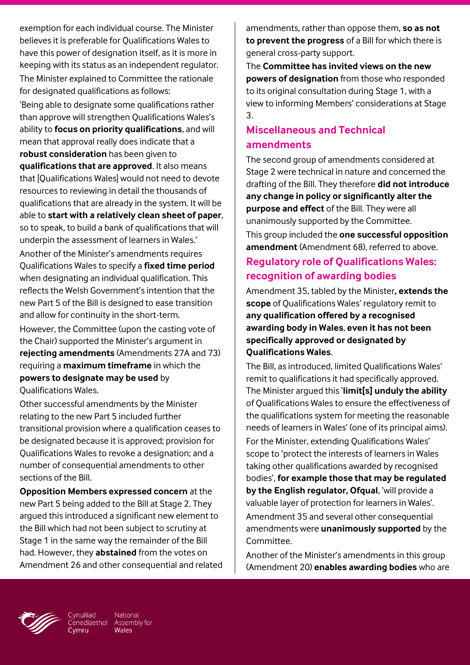exemption for each individual course. The Minister believes it is preferable for Qualifications Wales to have this power of designation itself, as it is more in keeping with its status as an independent regulator. The Minister explained to Committee the rationale for designated qualifications as follows:

'Being able to designate some qualifications rather than approve will strengthen Qualifications Wales's ability to **focus on priority qualifications**, and will mean that approval really does indicate that a **robust consideration** has been given to **qualifications that are approved**. It also means that [Qualifications Wales] would not need to devote resources to reviewing in detail the thousands of qualifications that are already in the system. It will be able to **start with a relatively clean sheet of paper**, so to speak, to build a bank of qualifications that will underpin the assessment of learners in Wales.'

Another of the Minister's amendments requires Qualifications Wales to specify a **fixed time period** when designating an individual qualification. This reflects the Welsh Government's intention that the new Part 5 of the Bill is designed to ease transition and allow for continuity in the short-term.

However, the Committee (upon the casting vote of the Chair) supported the Minister's argument in **rejecting amendments** (Amendments 27A and 73) requiring a **maximum timeframe** in which the **powers to designate may be used** by Qualifications Wales.

Other successful amendments by the Minister relating to the new Part 5 included further transitional provision where a qualification ceases to be designated because it is approved; provision for Qualifications Wales to revoke a designation; and a number of consequential amendments to other sections of the Bill.

**Opposition Members expressed concern** at the new Part 5 being added to the Bill at Stage 2. They argued this introduced a significant new element to the Bill which had not been subject to scrutiny at Stage 1 in the same way the remainder of the Bill had. However, they **abstained** from the votes on Amendment 26 and other consequential and related amendments, rather than oppose them, **so as not to prevent the progress** of a Bill for which there is general cross-party support.

The **Committee has invited views on the new powers of designation** from those who responded to its original consultation during Stage 1, with a view to informing Members' considerations at Stage 3.

# **Miscellaneous and Technical amendments**

The second group of amendments considered at Stage 2 were technical in nature and concerned the drafting of the Bill. They therefore **did not introduce any change in policy or significantly alter the purpose and effect** of the Bill. They were all unanimously supported by the Committee.

This group included the **one successful opposition amendment** (Amendment 68), referred to above.

# **Regulatory role of Qualifications Wales: recognition of awarding bodies**

Amendment 35, tabled by the Minister**, extends the scope** of Qualifications Wales' regulatory remit to **any qualification offered by a recognised awarding body in Wales**, **even it has not been specifically approved or designated by Qualifications Wales**.

The Bill, as introduced, limited Qualifications Wales' remit to qualifications it had specifically approved. The Minister argued this '**limit[s] unduly the ability** of Qualifications Wales to ensure the effectiveness of the qualifications system for meeting the reasonable needs of learners in Wales' (one of its principal aims).

For the Minister, extending Qualifications Wales' scope to 'protect the interests of learners in Wales taking other qualifications awarded by recognised bodies', **for example those that may be regulated by the English regulator, Ofqual**, 'will provide a valuable layer of protection for learners in Wales'.

Amendment 35 and several other consequential amendments were **unanimously supported** by the Committee.

Another of the Minister's amendments in this group (Amendment 20) **enables awarding bodies** who are



Cynulliad National Cenedlaethol Assembly for **Wales**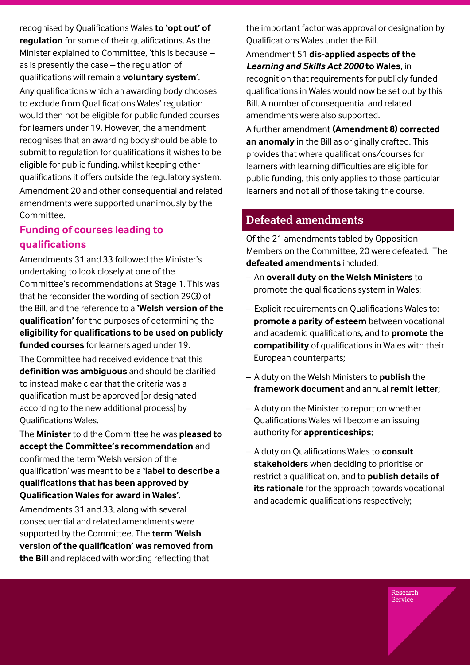recognised by Qualifications Wales **to 'opt out' of regulation** for some of their qualifications. As the Minister explained to Committee, 'this is because – as is presently the case – the regulation of qualifications will remain a **voluntary system**'. Any qualifications which an awarding body chooses to exclude from Qualifications Wales' regulation would then not be eligible for public funded courses for learners under 19. However, the amendment recognises that an awarding body should be able to submit to regulation for qualifications it wishes to be eligible for public funding, whilst keeping other qualifications it offers outside the regulatory system. Amendment 20 and other consequential and related amendments were supported unanimously by the Committee.

## **Funding of courses leading to qualifications**

Amendments 31 and 33 followed the Minister's undertaking to look closely at one of the Committee's recommendations at Stage 1. This was that he reconsider the wording of section 29(3) of the Bill, and the reference to a **'Welsh version of the qualification'** for the purposes of determining the **eligibility for qualifications to be used on publicly funded courses** for learners aged under 19.

The Committee had received evidence that this **definition was ambiguous** and should be clarified to instead make clear that the criteria was a qualification must be approved [or designated according to the new additional process] by Qualifications Wales.

The **Minister** told the Committee he was **pleased to accept the Committee's recommendation** and confirmed the term 'Welsh version of the qualification' was meant to be a **'label to describe a qualifications that has been approved by Qualification Wales for award in Wales'**.

Amendments 31 and 33, along with several consequential and related amendments were supported by the Committee. The **term 'Welsh version of the qualification' was removed from the Bill** and replaced with wording reflecting that

the important factor was approval or designation by Qualifications Wales under the Bill.

Amendment 51 **dis-applied aspects of the**  *Learning and Skills Act 2000* **to Wales**, in recognition that requirements for publicly funded qualifications in Wales would now be set out by this Bill. A number of consequential and related amendments were also supported.

A further amendment **(Amendment 8) corrected an anomaly** in the Bill as originally drafted. This provides that where qualifications/courses for learners with learning difficulties are eligible for public funding, this only applies to those particular learners and not all of those taking the course.

# **Defeated amendments**

Of the 21 amendments tabled by Opposition Members on the Committee, 20 were defeated. The **defeated amendments** included:

- An **overall duty on the Welsh Ministers** to promote the qualifications system in Wales;
- Explicit requirements on Qualifications Wales to: **promote a parity of esteem** between vocational and academic qualifications; and to **promote the compatibility** of qualifications in Wales with their European counterparts;
- A duty on the Welsh Ministers to **publish** the **framework document** and annual **remit letter**;
- A duty on the Minister to report on whether Qualifications Wales will become an issuing authority for **apprenticeships**;
- A duty on Qualifications Wales to **consult stakeholders** when deciding to prioritise or restrict a qualification, and to **publish details of its rationale** for the approach towards vocational and academic qualifications respectively;

Research Service